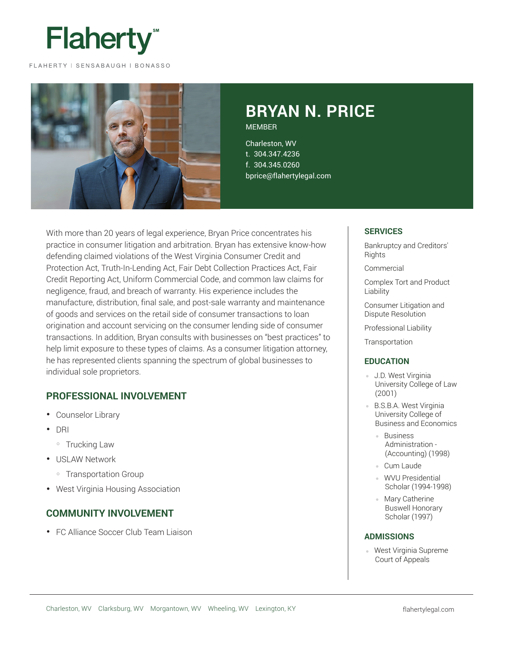

FLAHERTY | SENSABAUGH | BONASSO



# **BRYAN N. PRICE MEMBER**

Charleston, WV t. 304.347.4236 f. 304.345.0260 bprice@flahertylegal.com

With more than 20 years of legal experience, Bryan Price concentrates his practice in consumer litigation and arbitration. Bryan has extensive know-how defending claimed violations of the West Virginia Consumer Credit and Protection Act, Truth-In-Lending Act, Fair Debt Collection Practices Act, Fair Credit Reporting Act, Uniform Commercial Code, and common law claims for negligence, fraud, and breach of warranty. His experience includes the manufacture, distribution, final sale, and post-sale warranty and maintenance of goods and services on the retail side of consumer transactions to loan origination and account servicing on the consumer lending side of consumer transactions. In addition, Bryan consults with businesses on "best practices" to help limit exposure to these types of claims. As a consumer litigation attorney, he has represented clients spanning the spectrum of global businesses to individual sole proprietors.

## **PROFESSIONAL INVOLVEMENT**

- Counselor Library
- DRI
	- Trucking Law
- USLAW Network
	- Transportation Group
- West Virginia Housing Association

### **COMMUNITY INVOLVEMENT**

• FC Alliance Soccer Club Team Liaison

#### **SERVICES**

Bankruptcy and Creditors' **Rights** 

Commercial

Complex Tort and Product Liability

Consumer Litigation and Dispute Resolution

Professional Liability

**Transportation** 

#### **EDUCATION**

- J.D. West Virginia University College of Law (2001)
- **B.S.B.A. West Virginia** University College of Business and Economics
	- Business Administration - (Accounting) (1998)
	- Cum Laude
	- WVU Presidential Scholar (1994-1998)
	- Mary Catherine Buswell Honorary Scholar (1997)

#### **ADMISSIONS**

● West Virginia Supreme Court of Appeals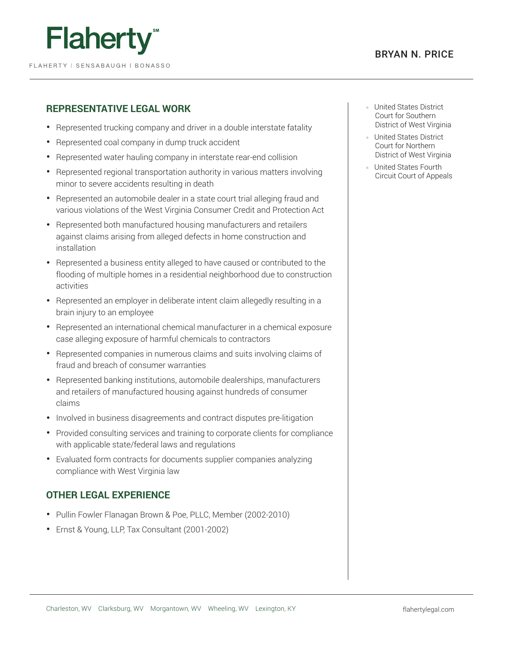



# **REPRESENTATIVE LEGAL WORK**

- Represented trucking company and driver in a double interstate fatality
- Represented coal company in dump truck accident
- Represented water hauling company in interstate rear-end collision
- Represented regional transportation authority in various matters involving minor to severe accidents resulting in death
- Represented an automobile dealer in a state court trial alleging fraud and various violations of the West Virginia Consumer Credit and Protection Act
- Represented both manufactured housing manufacturers and retailers against claims arising from alleged defects in home construction and installation
- Represented a business entity alleged to have caused or contributed to the flooding of multiple homes in a residential neighborhood due to construction activities
- Represented an employer in deliberate intent claim allegedly resulting in a brain injury to an employee
- Represented an international chemical manufacturer in a chemical exposure case alleging exposure of harmful chemicals to contractors
- Represented companies in numerous claims and suits involving claims of fraud and breach of consumer warranties
- Represented banking institutions, automobile dealerships, manufacturers and retailers of manufactured housing against hundreds of consumer claims
- Involved in business disagreements and contract disputes pre-litigation
- Provided consulting services and training to corporate clients for compliance with applicable state/federal laws and regulations
- Evaluated form contracts for documents supplier companies analyzing compliance with West Virginia law

# **OTHER LEGAL EXPERIENCE**

- Pullin Fowler Flanagan Brown & Poe, PLLC, Member (2002-2010)
- Ernst & Young, LLP, Tax Consultant (2001-2002)
- United States District Court for Southern District of West Virginia
- United States District Court for Northern District of West Virginia
- United States Fourth Circuit Court of Appeals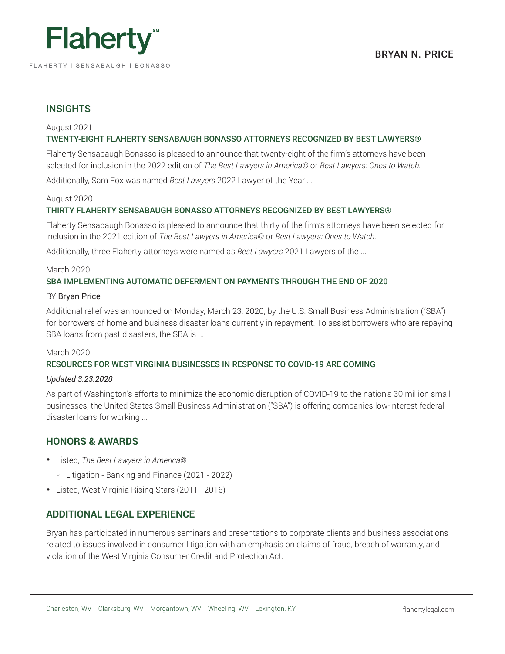

### **INSIGHTS**

#### August 2021 TWENTY-EIGHT FLAHERTY SENSABAUGH BONASSO ATTORNEYS RECOGNIZED BY BEST LAWYERS®

Flaherty Sensabaugh Bonasso is pleased to announce that twenty-eight of the firm's attorneys have been selected for inclusion in the 2022 edition of *The Best Lawyers in America©* or *Best Lawyers: Ones to Watch.*

Additionally, Sam Fox was named *Best Lawyers* 2022 Lawyer of the Year ...

#### August 2020

#### THIRTY FLAHERTY SENSABAUGH BONASSO ATTORNEYS RECOGNIZED BY BEST LAWYERS®

Flaherty Sensabaugh Bonasso is pleased to announce that thirty of the firm's attorneys have been selected for inclusion in the 2021 edition of *The Best Lawyers in America©* or *Best Lawyers: Ones to Watch.*

Additionally, three Flaherty attorneys were named as *Best Lawyers* 2021 Lawyers of the ...

#### March 2020 SBA IMPLEMENTING AUTOMATIC DEFERMENT ON PAYMENTS THROUGH THE END OF 2020

#### BY Bryan Price

Additional relief was announced on Monday, March 23, 2020, by the U.S. Small Business Administration ("SBA") for borrowers of home and business disaster loans currently in repayment. To assist borrowers who are repaying SBA loans from past disasters, the SBA is ...

#### March 2020

#### RESOURCES FOR WEST VIRGINIA BUSINESSES IN RESPONSE TO COVID-19 ARE COMING

#### *Updated 3.23.2020*

As part of Washington's efforts to minimize the economic disruption of COVID-19 to the nation's 30 million small businesses, the United States Small Business Administration ("SBA") is offering companies low-interest federal disaster loans for working ...

### **HONORS & AWARDS**

- Listed, *The Best Lawyers in America©*
	- Litigation Banking and Finance (2021 2022)
- Listed, West Virginia Rising Stars (2011 2016)

### **ADDITIONAL LEGAL EXPERIENCE**

Bryan has participated in numerous seminars and presentations to corporate clients and business associations related to issues involved in consumer litigation with an emphasis on claims of fraud, breach of warranty, and violation of the West Virginia Consumer Credit and Protection Act.